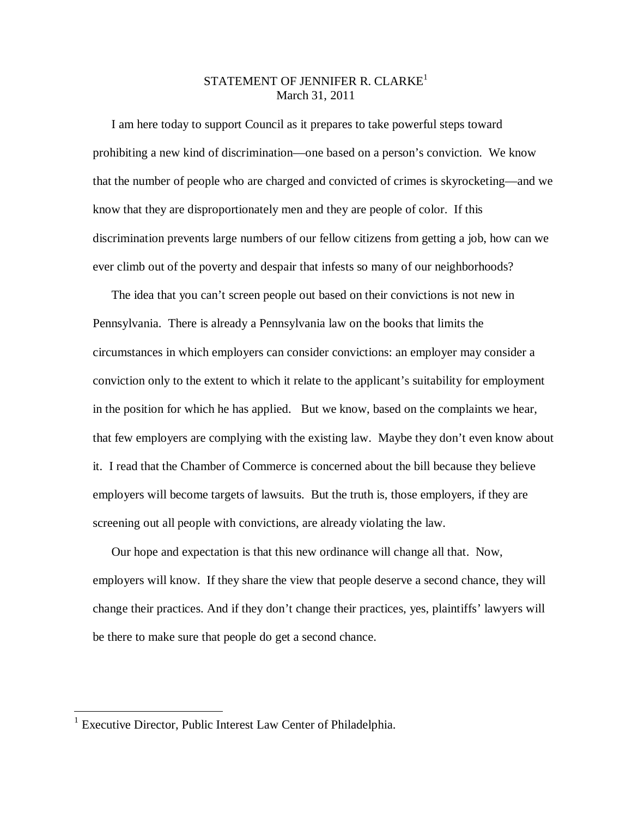## STATEMENT OF JENNIFER R. CLARKE<sup>1</sup> March 31, 2011

I am here today to support Council as it prepares to take powerful steps toward prohibiting a new kind of discrimination—one based on a person's conviction. We know that the number of people who are charged and convicted of crimes is skyrocketing—and we know that they are disproportionately men and they are people of color. If this discrimination prevents large numbers of our fellow citizens from getting a job, how can we ever climb out of the poverty and despair that infests so many of our neighborhoods?

The idea that you can't screen people out based on their convictions is not new in Pennsylvania. There is already a Pennsylvania law on the books that limits the circumstances in which employers can consider convictions: an employer may consider a conviction only to the extent to which it relate to the applicant's suitability for employment in the position for which he has applied. But we know, based on the complaints we hear, that few employers are complying with the existing law. Maybe they don't even know about it. I read that the Chamber of Commerce is concerned about the bill because they believe employers will become targets of lawsuits. But the truth is, those employers, if they are screening out all people with convictions, are already violating the law.

Our hope and expectation is that this new ordinance will change all that. Now, employers will know. If they share the view that people deserve a second chance, they will change their practices. And if they don't change their practices, yes, plaintiffs' lawyers will be there to make sure that people do get a second chance.

 1 Executive Director, Public Interest Law Center of Philadelphia.